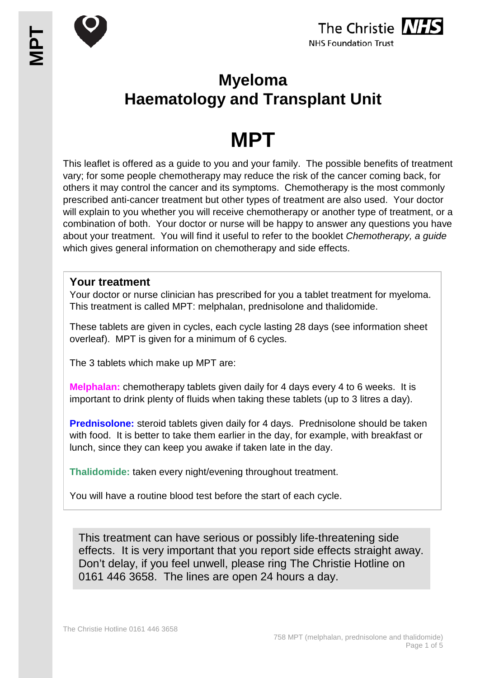





## **Myeloma Haematology and Transplant Unit**

# **MPT**

This leaflet is offered as a guide to you and your family. The possible benefits of treatment vary; for some people chemotherapy may reduce the risk of the cancer coming back, for others it may control the cancer and its symptoms. Chemotherapy is the most commonly prescribed anti-cancer treatment but other types of treatment are also used. Your doctor will explain to you whether you will receive chemotherapy or another type of treatment, or a combination of both. Your doctor or nurse will be happy to answer any questions you have about your treatment. You will find it useful to refer to the booklet *Chemotherapy, a guide* which gives general information on chemotherapy and side effects.

#### **Your treatment**

Your doctor or nurse clinician has prescribed for you a tablet treatment for myeloma. This treatment is called MPT: melphalan, prednisolone and thalidomide.

These tablets are given in cycles, each cycle lasting 28 days (see information sheet overleaf). MPT is given for a minimum of 6 cycles.

The 3 tablets which make up MPT are:

**Melphalan:** chemotherapy tablets given daily for 4 days every 4 to 6 weeks. It is important to drink plenty of fluids when taking these tablets (up to 3 litres a day).

**Prednisolone:** steroid tablets given daily for 4 days. Prednisolone should be taken with food. It is better to take them earlier in the day, for example, with breakfast or lunch, since they can keep you awake if taken late in the day.

**Thalidomide:** taken every night/evening throughout treatment.

You will have a routine blood test before the start of each cycle.

This treatment can have serious or possibly life-threatening side effects. It is very important that you report side effects straight away. Don't delay, if you feel unwell, please ring The Christie Hotline on 0161 446 3658. The lines are open 24 hours a day.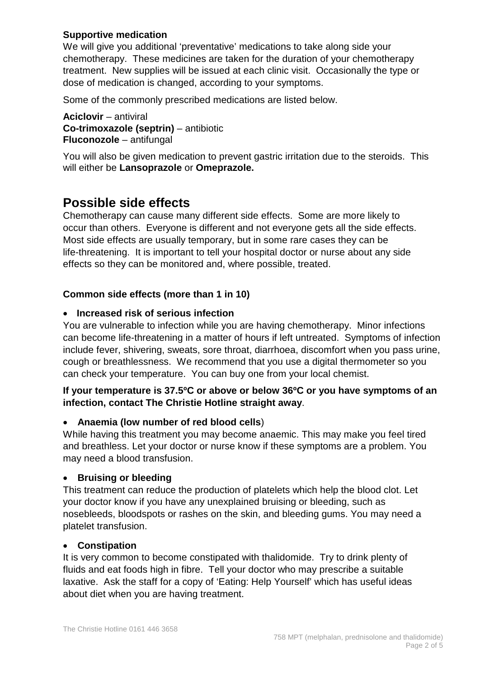#### **Supportive medication**

We will give you additional 'preventative' medications to take along side your chemotherapy. These medicines are taken for the duration of your chemotherapy treatment. New supplies will be issued at each clinic visit. Occasionally the type or dose of medication is changed, according to your symptoms.

Some of the commonly prescribed medications are listed below.

**Aciclovir** – antiviral **Co-trimoxazole (septrin)** – antibiotic **Fluconozole** – antifungal

You will also be given medication to prevent gastric irritation due to the steroids. This will either be **Lansoprazole** or **Omeprazole.**

## **Possible side effects**

Chemotherapy can cause many different side effects. Some are more likely to occur than others. Everyone is different and not everyone gets all the side effects. Most side effects are usually temporary, but in some rare cases they can be life-threatening. It is important to tell your hospital doctor or nurse about any side effects so they can be monitored and, where possible, treated.

#### **Common side effects (more than 1 in 10)**

#### • **Increased risk of serious infection**

You are vulnerable to infection while you are having chemotherapy. Minor infections can become life-threatening in a matter of hours if left untreated. Symptoms of infection include fever, shivering, sweats, sore throat, diarrhoea, discomfort when you pass urine, cough or breathlessness. We recommend that you use a digital thermometer so you can check your temperature. You can buy one from your local chemist.

#### **If your temperature is 37.5ºC or above or below 36ºC or you have symptoms of an infection, contact The Christie Hotline straight away**.

#### • **Anaemia (low number of red blood cells**)

While having this treatment you may become anaemic. This may make you feel tired and breathless. Let your doctor or nurse know if these symptoms are a problem. You may need a blood transfusion.

#### • **Bruising or bleeding**

This treatment can reduce the production of platelets which help the blood clot. Let your doctor know if you have any unexplained bruising or bleeding, such as nosebleeds, bloodspots or rashes on the skin, and bleeding gums. You may need a platelet transfusion.

#### • **Constipation**

It is very common to become constipated with thalidomide. Try to drink plenty of fluids and eat foods high in fibre. Tell your doctor who may prescribe a suitable laxative. Ask the staff for a copy of 'Eating: Help Yourself' which has useful ideas about diet when you are having treatment.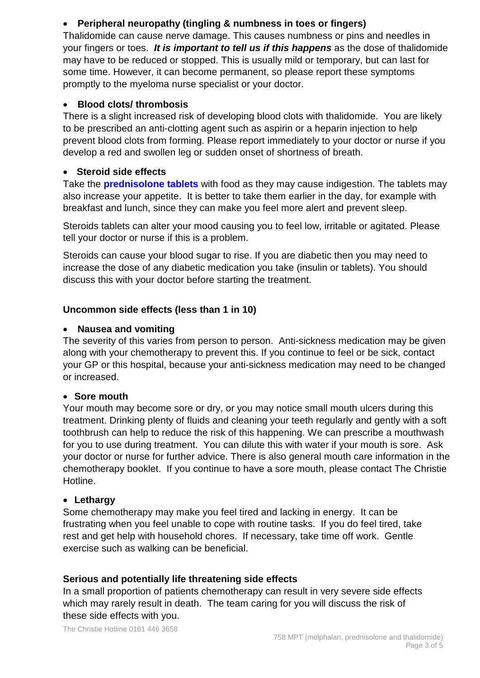#### • **Peripheral neuropathy (tingling & numbness in toes or fingers)**

Thalidomide can cause nerve damage. This causes numbness or pins and needles in your fingers or toes. *It is important to tell us if this happens* as the dose of thalidomide may have to be reduced or stopped. This is usually mild or temporary, but can last for some time. However, it can become permanent, so please report these symptoms promptly to the myeloma nurse specialist or your doctor.

#### • **Blood clots/ thrombosis**

There is a slight increased risk of developing blood clots with thalidomide. You are likely to be prescribed an anti-clotting agent such as aspirin or a heparin injection to help prevent blood clots from forming. Please report immediately to your doctor or nurse if you develop a red and swollen leg or sudden onset of shortness of breath.

#### • **Steroid side effects**

Take the **prednisolone tablets** with food as they may cause indigestion. The tablets may also increase your appetite. It is better to take them earlier in the day, for example with breakfast and lunch, since they can make you feel more alert and prevent sleep.

Steroids tablets can alter your mood causing you to feel low, irritable or agitated. Please tell your doctor or nurse if this is a problem.

Steroids can cause your blood sugar to rise. If you are diabetic then you may need to increase the dose of any diabetic medication you take (insulin or tablets). You should discuss this with your doctor before starting the treatment.

#### **Uncommon side effects (less than 1 in 10)**

#### • **Nausea and vomiting**

The severity of this varies from person to person. Anti-sickness medication may be given along with your chemotherapy to prevent this. If you continue to feel or be sick, contact your GP or this hospital, because your anti-sickness medication may need to be changed or increased.

#### • **Sore mouth**

Your mouth may become sore or dry, or you may notice small mouth ulcers during this treatment. Drinking plenty of fluids and cleaning your teeth regularly and gently with a soft toothbrush can help to reduce the risk of this happening. We can prescribe a mouthwash for you to use during treatment. You can dilute this with water if your mouth is sore. Ask your doctor or nurse for further advice. There is also general mouth care information in the chemotherapy booklet. If you continue to have a sore mouth, please contact The Christie Hotline.

#### • **Lethargy**

Some chemotherapy may make you feel tired and lacking in energy. It can be frustrating when you feel unable to cope with routine tasks. If you do feel tired, take rest and get help with household chores. If necessary, take time off work. Gentle exercise such as walking can be beneficial.

#### **Serious and potentially life threatening side effects**

In a small proportion of patients chemotherapy can result in very severe side effects which may rarely result in death. The team caring for you will discuss the risk of these side effects with you.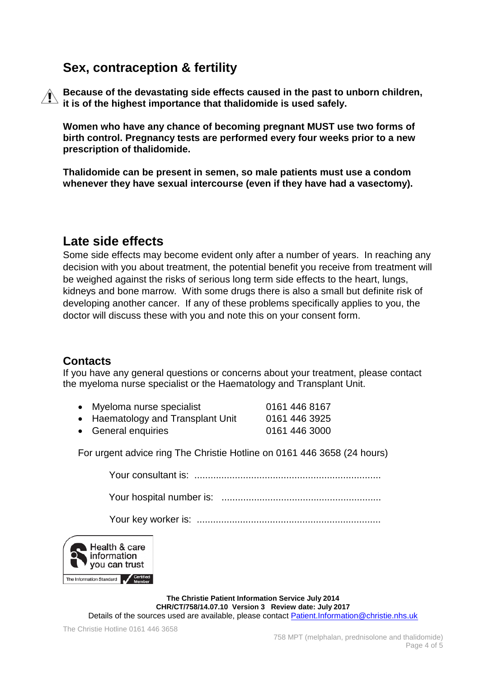## **Sex, contraception & fertility**

**Because of the devastating side effects caused in the past to unborn children, it is of the highest importance that thalidomide is used safely.**

**Women who have any chance of becoming pregnant MUST use two forms of birth control. Pregnancy tests are performed every four weeks prior to a new prescription of thalidomide.**

**Thalidomide can be present in semen, so male patients must use a condom whenever they have sexual intercourse (even if they have had a vasectomy).** 

### **Late side effects**

Some side effects may become evident only after a number of years. In reaching any decision with you about treatment, the potential benefit you receive from treatment will be weighed against the risks of serious long term side effects to the heart, lungs, kidneys and bone marrow. With some drugs there is also a small but definite risk of developing another cancer. If any of these problems specifically applies to you, the doctor will discuss these with you and note this on your consent form.

#### **Contacts**

If you have any general questions or concerns about your treatment, please contact the myeloma nurse specialist or the Haematology and Transplant Unit.

- Myeloma nurse specialist 0161 446 8167 • Haematology and Transplant Unit 0161 446 3925
- General enquiries 0161 446 3000

For urgent advice ring The Christie Hotline on 0161 446 3658 (24 hours)

Your consultant is: .....................................................................

Your hospital number is: ...........................................................

Your key worker is: ....................................................................



**The Christie Patient Information Service July 2014 CHR/CT/758/14.07.10 Version 3 Review date: July 2017** Details of the sources used are available, please contact [Patient.Information@christie.nhs.uk](mailto:Patient.Information@christie.nhs.uk)